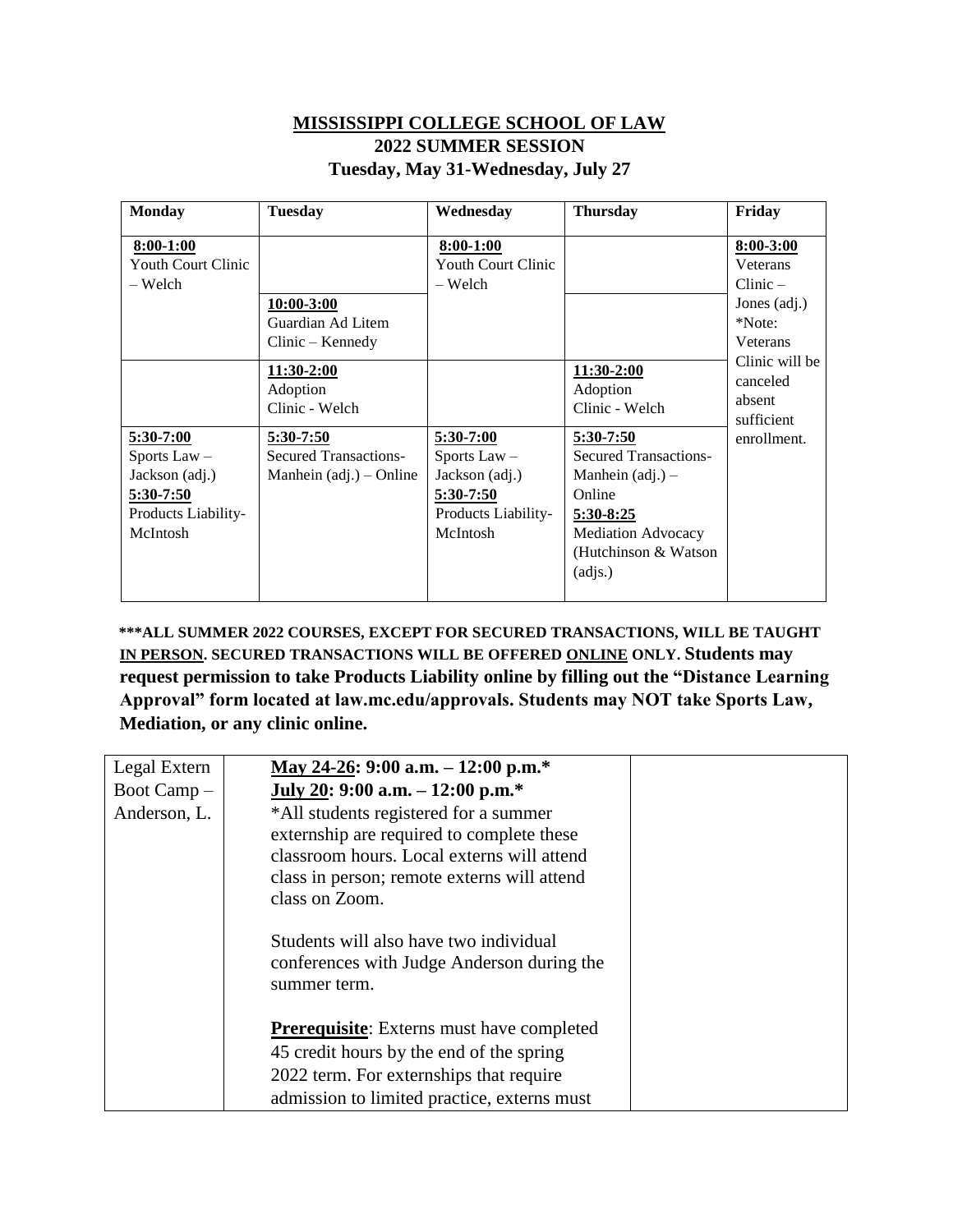## **MISSISSIPPI COLLEGE SCHOOL OF LAW 2022 SUMMER SESSION Tuesday, May 31-Wednesday, July 27**

| <b>Monday</b>                                                                                   | <b>Tuesday</b>                                                         | Wednesday                                                                                       | <b>Thursday</b>                                                                                                                                          | Friday                                                                                    |
|-------------------------------------------------------------------------------------------------|------------------------------------------------------------------------|-------------------------------------------------------------------------------------------------|----------------------------------------------------------------------------------------------------------------------------------------------------------|-------------------------------------------------------------------------------------------|
| $8:00-1:00$<br>Youth Court Clinic<br>– Welch                                                    | 10:00-3:00<br>Guardian Ad Litem<br>Clinic – Kennedy                    | $8:00-1:00$<br><b>Youth Court Clinic</b><br>– Welch                                             |                                                                                                                                                          | $8:00 - 3:00$<br><b>Veterans</b><br>Clinic –<br>Jones (adj.)<br>*Note:<br><b>Veterans</b> |
|                                                                                                 | 11:30-2:00<br>Adoption<br>Clinic - Welch                               |                                                                                                 | 11:30-2:00<br>Adoption<br>Clinic - Welch                                                                                                                 | Clinic will be<br>canceled<br>absent<br>sufficient                                        |
| $5:30-7:00$<br>Sports Law $-$<br>Jackson (adj.)<br>5:30-7:50<br>Products Liability-<br>McIntosh | 5:30-7:50<br><b>Secured Transactions-</b><br>Manhein $(adj.)$ – Online | $5:30-7:00$<br>Sports Law $-$<br>Jackson (adj.)<br>5:30-7:50<br>Products Liability-<br>McIntosh | $5:30-7:50$<br><b>Secured Transactions-</b><br>Manhein $(adj.) -$<br>Online<br>5:30-8:25<br><b>Mediation Advocacy</b><br>(Hutchinson & Watson<br>(adjs.) | enrollment.                                                                               |

**\*\*\*ALL SUMMER 2022 COURSES, EXCEPT FOR SECURED TRANSACTIONS, WILL BE TAUGHT IN PERSON. SECURED TRANSACTIONS WILL BE OFFERED ONLINE ONLY. Students may request permission to take Products Liability online by filling out the "Distance Learning Approval" form located at law.mc.edu/approvals. Students may NOT take Sports Law, Mediation, or any clinic online.** 

| Legal Extern | May 24-26: 9:00 a.m. $-12:00$ p.m. <sup>*</sup>                                                                                                                                                   |  |
|--------------|---------------------------------------------------------------------------------------------------------------------------------------------------------------------------------------------------|--|
| Boot Camp -  | July 20: 9:00 a.m. $-12:00$ p.m.*                                                                                                                                                                 |  |
| Anderson, L. | *All students registered for a summer<br>externship are required to complete these<br>classroom hours. Local externs will attend<br>class in person; remote externs will attend<br>class on Zoom. |  |
|              | Students will also have two individual<br>conferences with Judge Anderson during the<br>summer term.                                                                                              |  |
|              | <b>Prerequisite:</b> Externs must have completed                                                                                                                                                  |  |
|              | 45 credit hours by the end of the spring                                                                                                                                                          |  |
|              | 2022 term. For externships that require                                                                                                                                                           |  |
|              | admission to limited practice, externs must                                                                                                                                                       |  |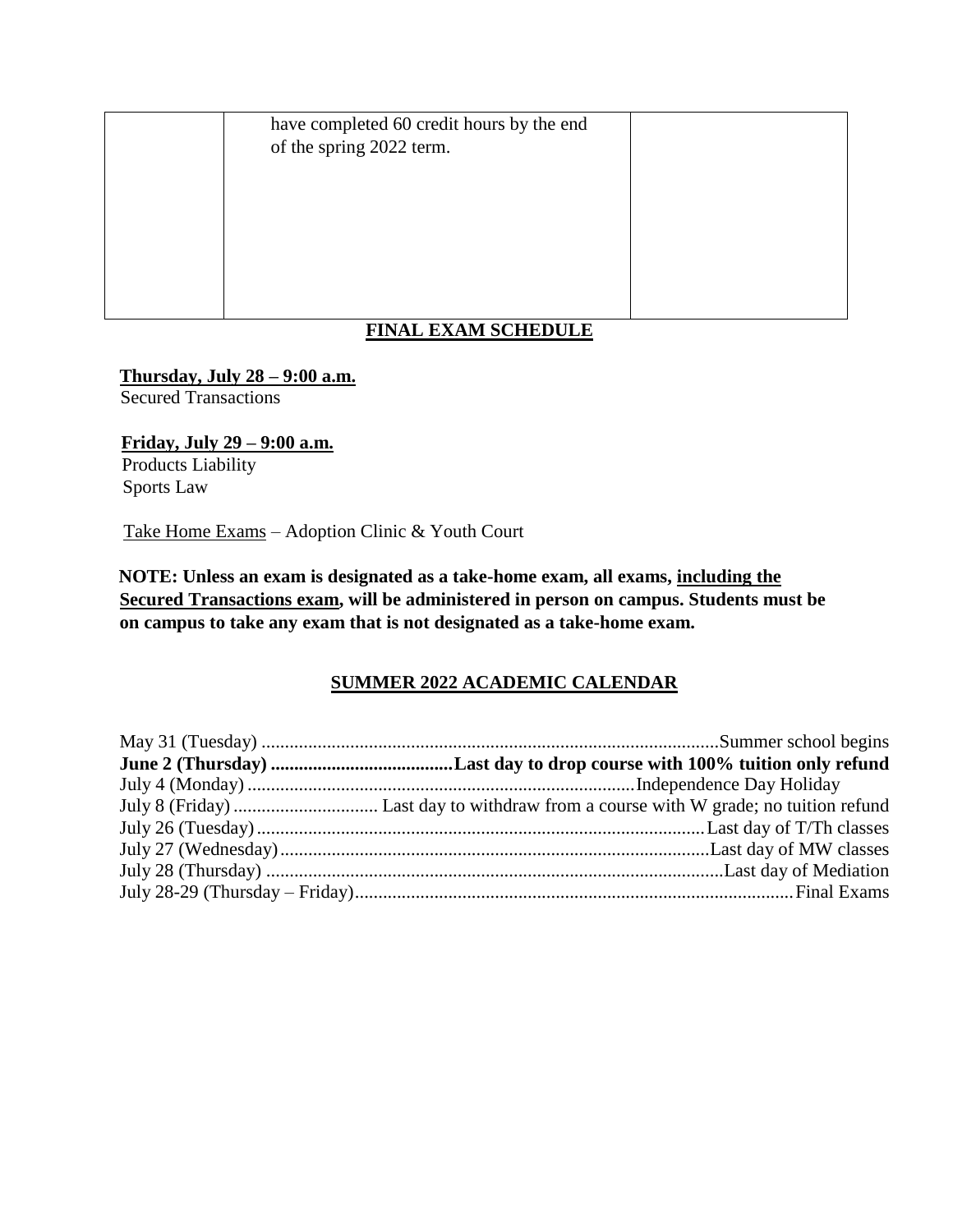have completed 60 credit hours by the end of the spring 2022 term.

# **FINAL EXAM SCHEDULE**

#### **Thursday, July 28 – 9:00 a.m.**

Secured Transactions

**Friday, July 29 – 9:00 a.m.** Products Liability Sports Law

Take Home Exams – Adoption Clinic & Youth Court

**NOTE: Unless an exam is designated as a take-home exam, all exams, including the Secured Transactions exam, will be administered in person on campus. Students must be on campus to take any exam that is not designated as a take-home exam.** 

### **SUMMER 2022 ACADEMIC CALENDAR**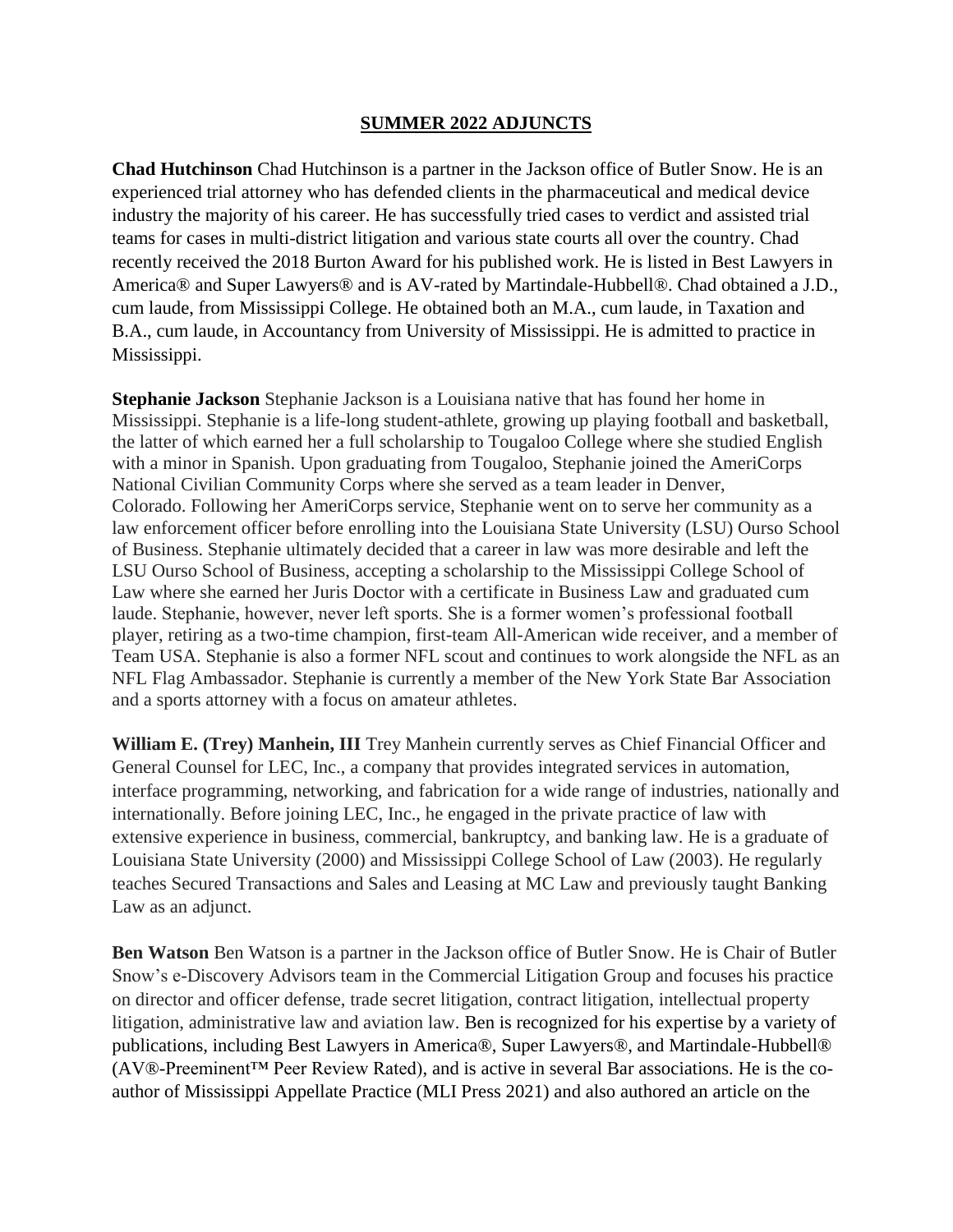### **SUMMER 2022 ADJUNCTS**

**Chad Hutchinson** Chad Hutchinson is a partner in the Jackson office of Butler Snow. He is an experienced trial attorney who has defended clients in the pharmaceutical and medical device industry the majority of his career. He has successfully tried cases to verdict and assisted trial teams for cases in multi-district litigation and various state courts all over the country. Chad recently received the 2018 Burton Award for his published work. He is listed in Best Lawyers in America® and Super Lawyers® and is AV-rated by Martindale-Hubbell®. Chad obtained a J.D., cum laude, from Mississippi College. He obtained both an M.A., cum laude, in Taxation and B.A., cum laude, in Accountancy from University of Mississippi. He is admitted to practice in Mississippi.

**Stephanie Jackson** Stephanie Jackson is a Louisiana native that has found her home in Mississippi. Stephanie is a life-long student-athlete, growing up playing football and basketball, the latter of which earned her a full scholarship to Tougaloo College where she studied English with a minor in Spanish. Upon graduating from Tougaloo, Stephanie joined the AmeriCorps National Civilian Community Corps where she served as a team leader in Denver, Colorado. Following her AmeriCorps service, Stephanie went on to serve her community as a law enforcement officer before enrolling into the Louisiana State University (LSU) Ourso School of Business. Stephanie ultimately decided that a career in law was more desirable and left the LSU Ourso School of Business, accepting a scholarship to the Mississippi College School of Law where she earned her Juris Doctor with a certificate in Business Law and graduated cum laude. Stephanie, however, never left sports. She is a former women's professional football player, retiring as a two-time champion, first-team All-American wide receiver, and a member of Team USA. Stephanie is also a former NFL scout and continues to work alongside the NFL as an NFL Flag Ambassador. Stephanie is currently a member of the New York State Bar Association and a sports attorney with a focus on amateur athletes.

**William E. (Trey) Manhein, III** Trey Manhein currently serves as Chief Financial Officer and General Counsel for LEC, Inc., a company that provides integrated services in automation, interface programming, networking, and fabrication for a wide range of industries, nationally and internationally. Before joining LEC, Inc., he engaged in the private practice of law with extensive experience in business, commercial, bankruptcy, and banking law. He is a graduate of Louisiana State University (2000) and Mississippi College School of Law (2003). He regularly teaches Secured Transactions and Sales and Leasing at MC Law and previously taught Banking Law as an adjunct.

**Ben Watson** Ben Watson is a partner in the Jackson office of Butler Snow. He is Chair of Butler Snow's e-Discovery Advisors team in the Commercial Litigation Group and focuses his practice on director and officer defense, trade secret litigation, contract litigation, intellectual property litigation, administrative law and aviation law. Ben is recognized for his expertise by a variety of publications, including Best Lawyers in America®, Super Lawyers®, and Martindale-Hubbell® (AV®-Preeminent™ Peer Review Rated), and is active in several Bar associations. He is the coauthor of Mississippi Appellate Practice (MLI Press 2021) and also authored an article on the